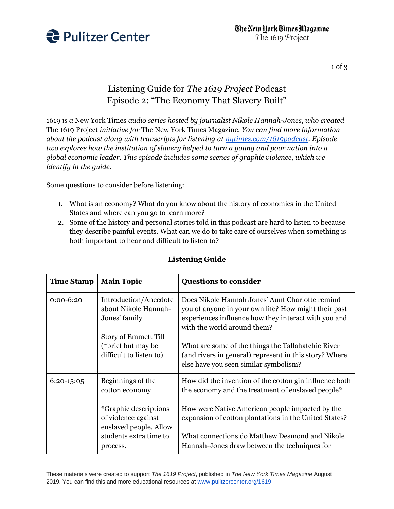

1 of 3

## Listening Guide for *The 1619 Project* Podcast Episode 2: "The Economy That Slavery Built"

1619 *is a* New York Times *audio series hosted by journalist Nikole Hannah-Jones, who created*  The 1619 Project *initiative for* The New York Times Magazine*. You can find more information about the podcast along with transcripts for listening at [nytimes.com/1619podcast.](https://www.nytimes.com/2020/01/23/podcasts/1619-podcast.html) Episode two explores how the institution of slavery helped to turn a young and poor nation into a global economic leader. This episode includes some scenes of graphic violence, which we identify in the guide.*

Some questions to consider before listening:

- 1. What is an economy? What do you know about the history of economics in the United States and where can you go to learn more?
- 2. Some of the history and personal stories told in this podcast are hard to listen to because they describe painful events. What can we do to take care of ourselves when something is both important to hear and difficult to listen to?

| <b>Time Stamp</b> | <b>Main Topic</b>                                                              | <b>Questions to consider</b>                                                                                                                                                                   |
|-------------------|--------------------------------------------------------------------------------|------------------------------------------------------------------------------------------------------------------------------------------------------------------------------------------------|
| $0:00-6:20$       | Introduction/Anecdote<br>about Nikole Hannah-<br>Jones' family                 | Does Nikole Hannah Jones' Aunt Charlotte remind<br>you of anyone in your own life? How might their past<br>experiences influence how they interact with you and<br>with the world around them? |
|                   | Story of Emmett Till<br>(*brief but may be<br>difficult to listen to)          | What are some of the things the Tallahatchie River<br>(and rivers in general) represent in this story? Where<br>else have you seen similar symbolism?                                          |
| $6:20-15:05$      | Beginnings of the<br>cotton economy                                            | How did the invention of the cotton gin influence both<br>the economy and the treatment of enslaved people?                                                                                    |
|                   | <i>*</i> Graphic descriptions<br>of violence against<br>enslaved people. Allow | How were Native American people impacted by the<br>expansion of cotton plantations in the United States?                                                                                       |
|                   | students extra time to<br>process.                                             | What connections do Matthew Desmond and Nikole<br>Hannah-Jones draw between the techniques for                                                                                                 |

## **Listening Guide**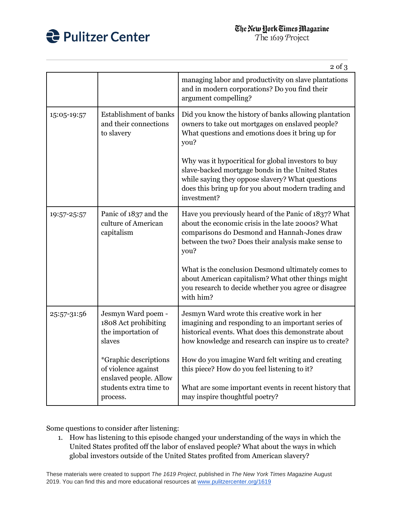

The 1619 Project

 $0 \text{ of } 2$ 

|             |                                                                                                              | ر ∪⊔ ∠                                                                                                                                                                                                                            |
|-------------|--------------------------------------------------------------------------------------------------------------|-----------------------------------------------------------------------------------------------------------------------------------------------------------------------------------------------------------------------------------|
|             |                                                                                                              | managing labor and productivity on slave plantations<br>and in modern corporations? Do you find their<br>argument compelling?                                                                                                     |
| 15:05-19:57 | <b>Establishment</b> of banks<br>and their connections<br>to slavery                                         | Did you know the history of banks allowing plantation<br>owners to take out mortgages on enslaved people?<br>What questions and emotions does it bring up for<br>you?                                                             |
|             |                                                                                                              | Why was it hypocritical for global investors to buy<br>slave-backed mortgage bonds in the United States<br>while saying they oppose slavery? What questions<br>does this bring up for you about modern trading and<br>investment? |
| 19:57-25:57 | Panic of 1837 and the<br>culture of American<br>capitalism                                                   | Have you previously heard of the Panic of 1837? What<br>about the economic crisis in the late 2000s? What<br>comparisons do Desmond and Hannah-Jones draw<br>between the two? Does their analysis make sense to<br>you?           |
|             |                                                                                                              | What is the conclusion Desmond ultimately comes to<br>about American capitalism? What other things might<br>you research to decide whether you agree or disagree<br>with him?                                                     |
| 25:57-31:56 | Jesmyn Ward poem -<br>1808 Act prohibiting<br>the importation of<br>slaves                                   | Jesmyn Ward wrote this creative work in her<br>imagining and responding to an important series of<br>historical events. What does this demonstrate about<br>how knowledge and research can inspire us to create?                  |
|             | *Graphic descriptions<br>of violence against<br>enslaved people. Allow<br>students extra time to<br>process. | How do you imagine Ward felt writing and creating<br>this piece? How do you feel listening to it?<br>What are some important events in recent history that<br>may inspire thoughtful poetry?                                      |

Some questions to consider after listening:

1. How has listening to this episode changed your understanding of the ways in which the United States profited off the labor of enslaved people? What about the ways in which global investors outside of the United States profited from American slavery?